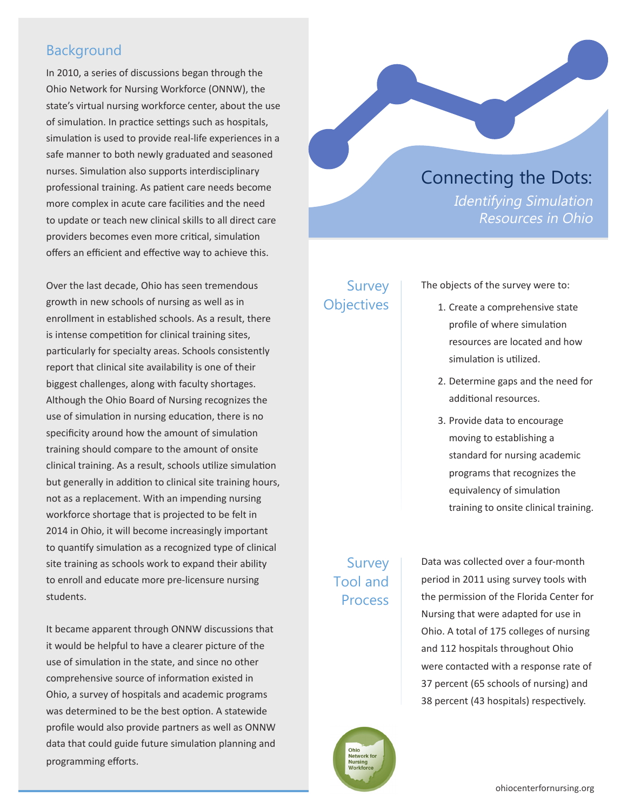## Background

In 2010, a series of discussions began through the Ohio Network for Nursing Workforce (ONNW), the state's virtual nursing workforce center, about the use of simulation. In practice settings such as hospitals, simulation is used to provide real-life experiences in a safe manner to both newly graduated and seasoned nurses. Simulation also supports interdisciplinary professional training. As patient care needs become more complex in acute care facilities and the need to update or teach new clinical skills to all direct care providers becomes even more critical, simulation offers an efficient and effective way to achieve this.

Over the last decade, Ohio has seen tremendous growth in new schools of nursing as well as in enrollment in established schools. As a result, there is intense competition for clinical training sites, particularly for specialty areas. Schools consistently report that clinical site availability is one of their biggest challenges, along with faculty shortages. Although the Ohio Board of Nursing recognizes the use of simulation in nursing education, there is no specificity around how the amount of simulation training should compare to the amount of onsite clinical training. As a result, schools utilize simulation but generally in addition to clinical site training hours, not as a replacement. With an impending nursing workforce shortage that is projected to be felt in 2014 in Ohio, it will become increasingly important to quantify simulation as a recognized type of clinical site training as schools work to expand their ability to enroll and educate more pre-licensure nursing students.

It became apparent through ONNW discussions that it would be helpful to have a clearer picture of the use of simulation in the state, and since no other comprehensive source of information existed in Ohio, a survey of hospitals and academic programs was determined to be the best option. A statewide profile would also provide partners as well as ONNW data that could guide future simulation planning and programming efforts.



### Survey **Objectives**

The objects of the survey were to:

- 1. Create a comprehensive state profile of where simulation resources are located and how simulation is utilized.
- 2. Determine gaps and the need for additional resources.
- 3. Provide data to encourage moving to establishing a standard for nursing academic programs that recognizes the equivalency of simulation training to onsite clinical training.

## Survey Tool and Process

Data was collected over a four-month period in 2011 using survey tools with the permission of the Florida Center for Nursing that were adapted for use in Ohio. A total of 175 colleges of nursing and 112 hospitals throughout Ohio were contacted with a response rate of 37 percent (65 schools of nursing) and 38 percent (43 hospitals) respectively.

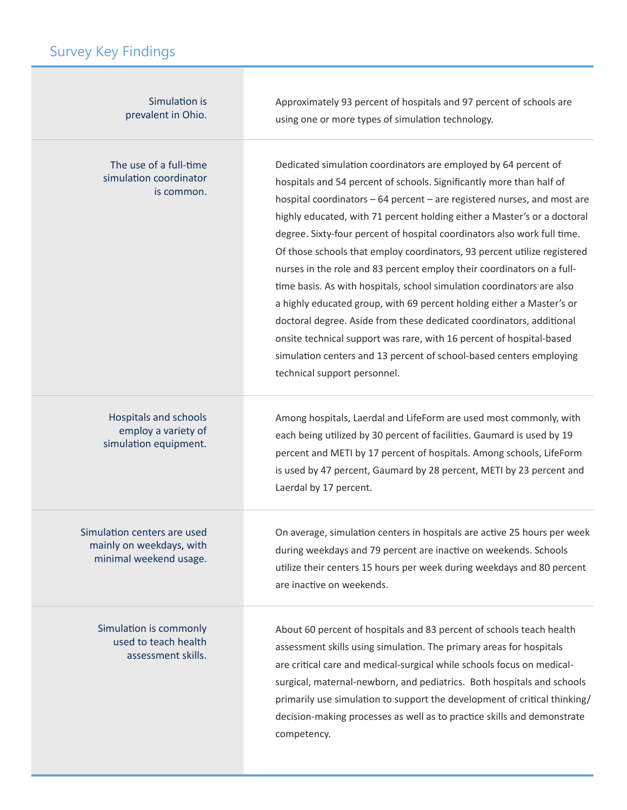# Survey Key Findings

| Simulation is<br>prevalent in Ohio.                                               | Approximately 93 percent of hospitals and 97 percent of schools are<br>using one or more types of simulation technology.                                                                                                                                                                                                                                                                                                                                                                                                                                                                                                                                                                                                                                                                                                                                                                                                                    |
|-----------------------------------------------------------------------------------|---------------------------------------------------------------------------------------------------------------------------------------------------------------------------------------------------------------------------------------------------------------------------------------------------------------------------------------------------------------------------------------------------------------------------------------------------------------------------------------------------------------------------------------------------------------------------------------------------------------------------------------------------------------------------------------------------------------------------------------------------------------------------------------------------------------------------------------------------------------------------------------------------------------------------------------------|
| The use of a full-time<br>simulation coordinator<br>is common.                    | Dedicated simulation coordinators are employed by 64 percent of<br>hospitals and 54 percent of schools. Significantly more than half of<br>hospital coordinators - 64 percent - are registered nurses, and most are<br>highly educated, with 71 percent holding either a Master's or a doctoral<br>degree. Sixty-four percent of hospital coordinators also work full time.<br>Of those schools that employ coordinators, 93 percent utilize registered<br>nurses in the role and 83 percent employ their coordinators on a full-<br>time basis. As with hospitals, school simulation coordinators are also<br>a highly educated group, with 69 percent holding either a Master's or<br>doctoral degree. Aside from these dedicated coordinators, additional<br>onsite technical support was rare, with 16 percent of hospital-based<br>simulation centers and 13 percent of school-based centers employing<br>technical support personnel. |
| <b>Hospitals and schools</b><br>employ a variety of<br>simulation equipment.      | Among hospitals, Laerdal and LifeForm are used most commonly, with<br>each being utilized by 30 percent of facilities. Gaumard is used by 19<br>percent and METI by 17 percent of hospitals. Among schools, LifeForm<br>is used by 47 percent, Gaumard by 28 percent, METI by 23 percent and<br>Laerdal by 17 percent.                                                                                                                                                                                                                                                                                                                                                                                                                                                                                                                                                                                                                      |
| Simulation centers are used<br>mainly on weekdays, with<br>minimal weekend usage. | On average, simulation centers in hospitals are active 25 hours per week<br>during weekdays and 79 percent are inactive on weekends. Schools<br>utilize their centers 15 hours per week during weekdays and 80 percent<br>are inactive on weekends.                                                                                                                                                                                                                                                                                                                                                                                                                                                                                                                                                                                                                                                                                         |
| Simulation is commonly<br>used to teach health<br>assessment skills.              | About 60 percent of hospitals and 83 percent of schools teach health<br>assessment skills using simulation. The primary areas for hospitals<br>are critical care and medical-surgical while schools focus on medical-<br>surgical, maternal-newborn, and pediatrics. Both hospitals and schools<br>primarily use simulation to support the development of critical thinking/<br>decision-making processes as well as to practice skills and demonstrate<br>competency.                                                                                                                                                                                                                                                                                                                                                                                                                                                                      |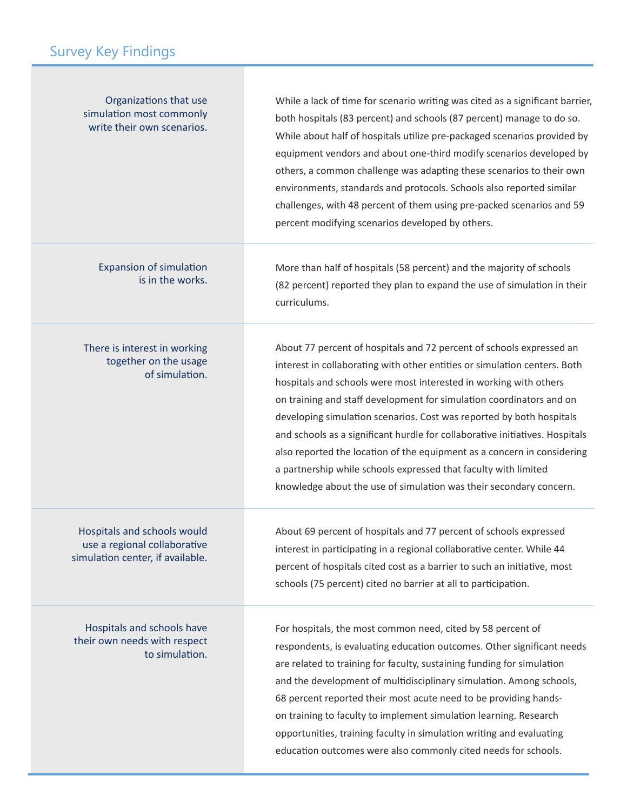| Organizations that use<br>simulation most commonly<br>write their own scenarios.                | While a lack of time for scenario writing was cited as a significant barrier,<br>both hospitals (83 percent) and schools (87 percent) manage to do so.<br>While about half of hospitals utilize pre-packaged scenarios provided by<br>equipment vendors and about one-third modify scenarios developed by<br>others, a common challenge was adapting these scenarios to their own<br>environments, standards and protocols. Schools also reported similar<br>challenges, with 48 percent of them using pre-packed scenarios and 59<br>percent modifying scenarios developed by others.                                                                                     |
|-------------------------------------------------------------------------------------------------|----------------------------------------------------------------------------------------------------------------------------------------------------------------------------------------------------------------------------------------------------------------------------------------------------------------------------------------------------------------------------------------------------------------------------------------------------------------------------------------------------------------------------------------------------------------------------------------------------------------------------------------------------------------------------|
| <b>Expansion of simulation</b><br>is in the works.                                              | More than half of hospitals (58 percent) and the majority of schools<br>(82 percent) reported they plan to expand the use of simulation in their<br>curriculums.                                                                                                                                                                                                                                                                                                                                                                                                                                                                                                           |
| There is interest in working<br>together on the usage<br>of simulation.                         | About 77 percent of hospitals and 72 percent of schools expressed an<br>interest in collaborating with other entities or simulation centers. Both<br>hospitals and schools were most interested in working with others<br>on training and staff development for simulation coordinators and on<br>developing simulation scenarios. Cost was reported by both hospitals<br>and schools as a significant hurdle for collaborative initiatives. Hospitals<br>also reported the location of the equipment as a concern in considering<br>a partnership while schools expressed that faculty with limited<br>knowledge about the use of simulation was their secondary concern. |
| Hospitals and schools would<br>use a regional collaborative<br>simulation center, if available. | About 69 percent of hospitals and 77 percent of schools expressed<br>interest in participating in a regional collaborative center. While 44<br>percent of hospitals cited cost as a barrier to such an initiative, most<br>schools (75 percent) cited no barrier at all to participation.                                                                                                                                                                                                                                                                                                                                                                                  |
| Hospitals and schools have<br>their own needs with respect<br>to simulation.                    | For hospitals, the most common need, cited by 58 percent of<br>respondents, is evaluating education outcomes. Other significant needs<br>are related to training for faculty, sustaining funding for simulation<br>and the development of multidisciplinary simulation. Among schools,<br>68 percent reported their most acute need to be providing hands-<br>on training to faculty to implement simulation learning. Research<br>opportunities, training faculty in simulation writing and evaluating<br>education outcomes were also commonly cited needs for schools.                                                                                                  |